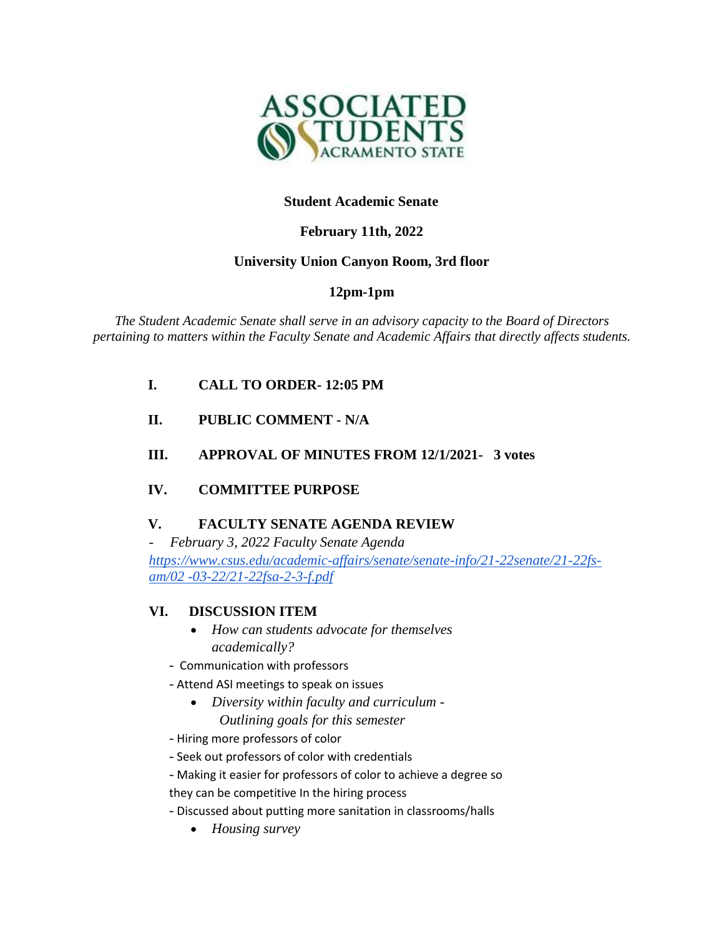

## **Student Academic Senate**

# **February 11th, 2022**

## **University Union Canyon Room, 3rd floor**

# **12pm-1pm**

*The Student Academic Senate shall serve in an advisory capacity to the Board of Directors pertaining to matters within the Faculty Senate and Academic Affairs that directly affects students.*

- **I. CALL TO ORDER- 12:05 PM**
- **II. PUBLIC COMMENT - N/A**
- **III. APPROVAL OF MINUTES FROM 12/1/2021- 3 votes**

## **IV. COMMITTEE PURPOSE**

## **V. FACULTY SENATE AGENDA REVIEW**

*- February 3, 2022 Faculty Senate Agenda [https://www.csus.edu/academic-affairs/senate/senate-info/21-22senate/21-22fs](https://www.csus.edu/academic-affairs/senate/senate-info/21-22senate/21-22fs-am/02-03-22/21-22fsa-2-3-f.pdf)[am/02 -03-22/21-22fsa-2-3-f.pdf](https://www.csus.edu/academic-affairs/senate/senate-info/21-22senate/21-22fs-am/02-03-22/21-22fsa-2-3-f.pdf)*

## **VI. DISCUSSION ITEM**

- *How can students advocate for themselves academically?*
- *-* Communication with professors
- *-* Attend ASI meetings to speak on issues
	- *Diversity within faculty and curriculum - Outlining goals for this semester*
- *-* Hiring more professors of color
- *-* Seek out professors of color with credentials
- *-* Making it easier for professors of color to achieve a degree so

they can be competitive In the hiring process

- *-* Discussed about putting more sanitation in classrooms/halls
	- *Housing survey*